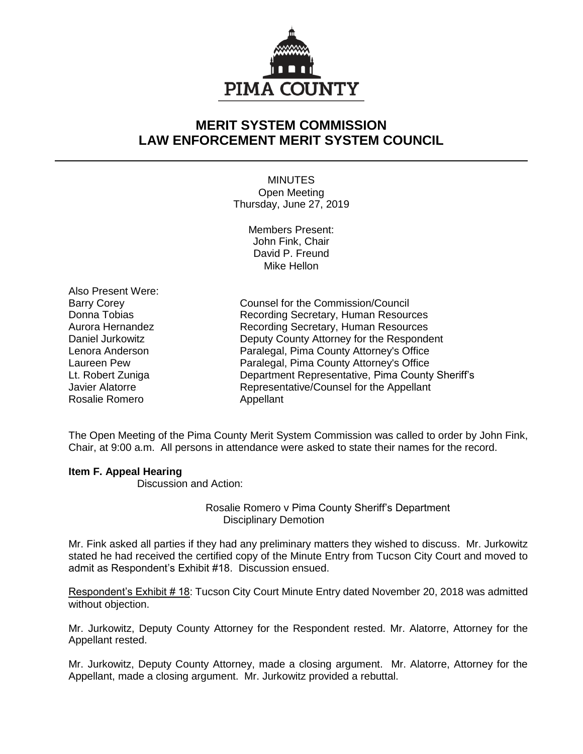

## **MERIT SYSTEM COMMISSION LAW ENFORCEMENT MERIT SYSTEM COUNCIL**

MINUTES Open Meeting Thursday, June 27, 2019

> Members Present: John Fink, Chair David P. Freund Mike Hellon

Also Present Were: Rosalie Romero **Appellant** 

Barry Corey **Counsel for the Commission/Council** Donna Tobias **Recording Secretary, Human Resources** Aurora Hernandez Recording Secretary, Human Resources Daniel Jurkowitz Deputy County Attorney for the Respondent Lenora Anderson Paralegal, Pima County Attorney's Office Laureen Pew Paralegal, Pima County Attorney's Office Lt. Robert Zuniga Department Representative, Pima County Sheriff's Javier Alatorre Representative/Counsel for the Appellant

The Open Meeting of the Pima County Merit System Commission was called to order by John Fink, Chair, at 9:00 a.m. All persons in attendance were asked to state their names for the record.

## **Item F. Appeal Hearing**

Discussion and Action:

Rosalie Romero v Pima County Sheriff's Department Disciplinary Demotion

Mr. Fink asked all parties if they had any preliminary matters they wished to discuss. Mr. Jurkowitz stated he had received the certified copy of the Minute Entry from Tucson City Court and moved to admit as Respondent's Exhibit #18. Discussion ensued.

Respondent's Exhibit # 18: Tucson City Court Minute Entry dated November 20, 2018 was admitted without objection.

Mr. Jurkowitz, Deputy County Attorney for the Respondent rested. Mr. Alatorre, Attorney for the Appellant rested.

Mr. Jurkowitz, Deputy County Attorney, made a closing argument. Mr. Alatorre, Attorney for the Appellant, made a closing argument. Mr. Jurkowitz provided a rebuttal.